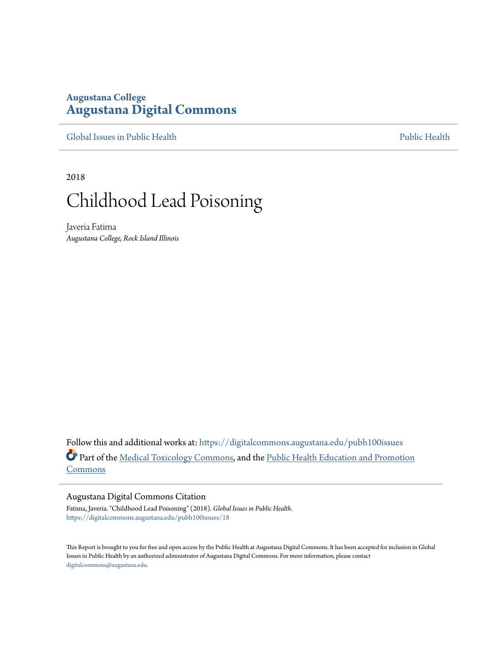# **Augustana College [Augustana Digital Commons](https://digitalcommons.augustana.edu?utm_source=digitalcommons.augustana.edu%2Fpubh100issues%2F18&utm_medium=PDF&utm_campaign=PDFCoverPages)**

[Global Issues in Public Health](https://digitalcommons.augustana.edu/pubh100issues?utm_source=digitalcommons.augustana.edu%2Fpubh100issues%2F18&utm_medium=PDF&utm_campaign=PDFCoverPages) [Public Health](https://digitalcommons.augustana.edu/publichealth?utm_source=digitalcommons.augustana.edu%2Fpubh100issues%2F18&utm_medium=PDF&utm_campaign=PDFCoverPages) Public Health Public Health Public Health

2018

# Childhood Lead Poisoning

Javeria Fatima *Augustana College, Rock Island Illinois*

Follow this and additional works at: [https://digitalcommons.augustana.edu/pubh100issues](https://digitalcommons.augustana.edu/pubh100issues?utm_source=digitalcommons.augustana.edu%2Fpubh100issues%2F18&utm_medium=PDF&utm_campaign=PDFCoverPages) Part of the [Medical Toxicology Commons,](http://network.bepress.com/hgg/discipline/678?utm_source=digitalcommons.augustana.edu%2Fpubh100issues%2F18&utm_medium=PDF&utm_campaign=PDFCoverPages) and the [Public Health Education and Promotion](http://network.bepress.com/hgg/discipline/743?utm_source=digitalcommons.augustana.edu%2Fpubh100issues%2F18&utm_medium=PDF&utm_campaign=PDFCoverPages) [Commons](http://network.bepress.com/hgg/discipline/743?utm_source=digitalcommons.augustana.edu%2Fpubh100issues%2F18&utm_medium=PDF&utm_campaign=PDFCoverPages)

#### Augustana Digital Commons Citation

Fatima, Javeria. "Childhood Lead Poisoning" (2018). *Global Issues in Public Health.* [https://digitalcommons.augustana.edu/pubh100issues/18](https://digitalcommons.augustana.edu/pubh100issues/18?utm_source=digitalcommons.augustana.edu%2Fpubh100issues%2F18&utm_medium=PDF&utm_campaign=PDFCoverPages)

This Report is brought to you for free and open access by the Public Health at Augustana Digital Commons. It has been accepted for inclusion in Global Issues in Public Health by an authorized administrator of Augustana Digital Commons. For more information, please contact [digitalcommons@augustana.edu.](mailto:digitalcommons@augustana.edu)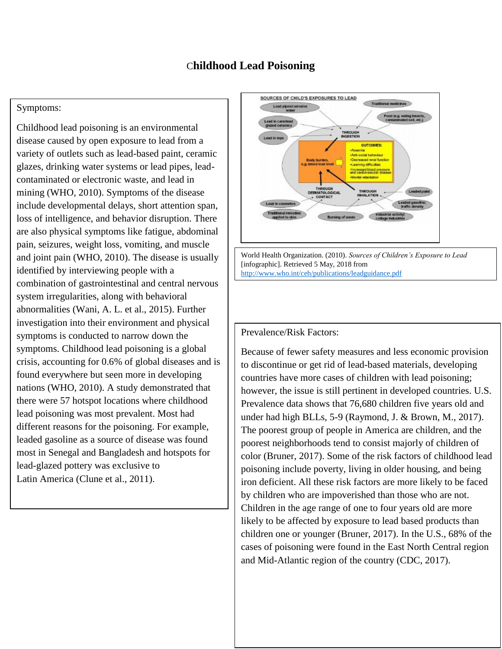## C**hildhood Lead Poisoning**

#### Symptoms:

Childhood lead poisoning is an environmental disease caused by open exposure to lead from a variety of outlets such as lead-based paint, ceramic glazes, drinking water systems or lead pipes, leadcontaminated or electronic waste, and lead in mining (WHO, 2010). Symptoms of the disease include developmental delays, short attention span, loss of intelligence, and behavior disruption. There are also physical symptoms like fatigue, abdominal pain, seizures, weight loss, vomiting, and muscle and joint pain (WHO, 2010). The disease is usually identified by interviewing people with a combination of gastrointestinal and central nervous system irregularities, along with behavioral abnormalities (Wani, A. L. et al., 2015). Further investigation into their environment and physical symptoms is conducted to narrow down the symptoms. Childhood lead poisoning is a global crisis, accounting for 0.6% of global diseases and is found everywhere but seen more in developing nations (WHO, 2010). A study demonstrated that there were 57 hotspot locations where childhood lead poisoning was most prevalent. Most had different reasons for the poisoning. For example, leaded gasoline as a source of disease was found most in Senegal and Bangladesh and hotspots for lead-glazed pottery was exclusive to Latin America (Clune et al., 2011).



World Health Organization. (2010). *Sources of Children's Exposure to Lead* [infographic]. Retrieved 5 May, 2018 from <http://www.who.int/ceh/publications/leadguidance.pdf>

#### Prevalence/Risk Factors:

Because of fewer safety measures and less economic provision to discontinue or get rid of lead-based materials, developing countries have more cases of children with lead poisoning; however, the issue is still pertinent in developed countries. U.S. Prevalence data shows that 76,680 children five years old and under had high BLLs, 5-9 (Raymond, J. & Brown, M., 2017). The poorest group of people in America are children, and the poorest neighborhoods tend to consist majorly of children of color (Bruner, 2017). Some of the risk factors of childhood lead poisoning include poverty, living in older housing, and being iron deficient. All these risk factors are more likely to be faced by children who are impoverished than those who are not. Children in the age range of one to four years old are more likely to be affected by exposure to lead based products than children one or younger (Bruner, 2017). In the U.S., 68% of the cases of poisoning were found in the East North Central region and Mid-Atlantic region of the country (CDC, 2017).